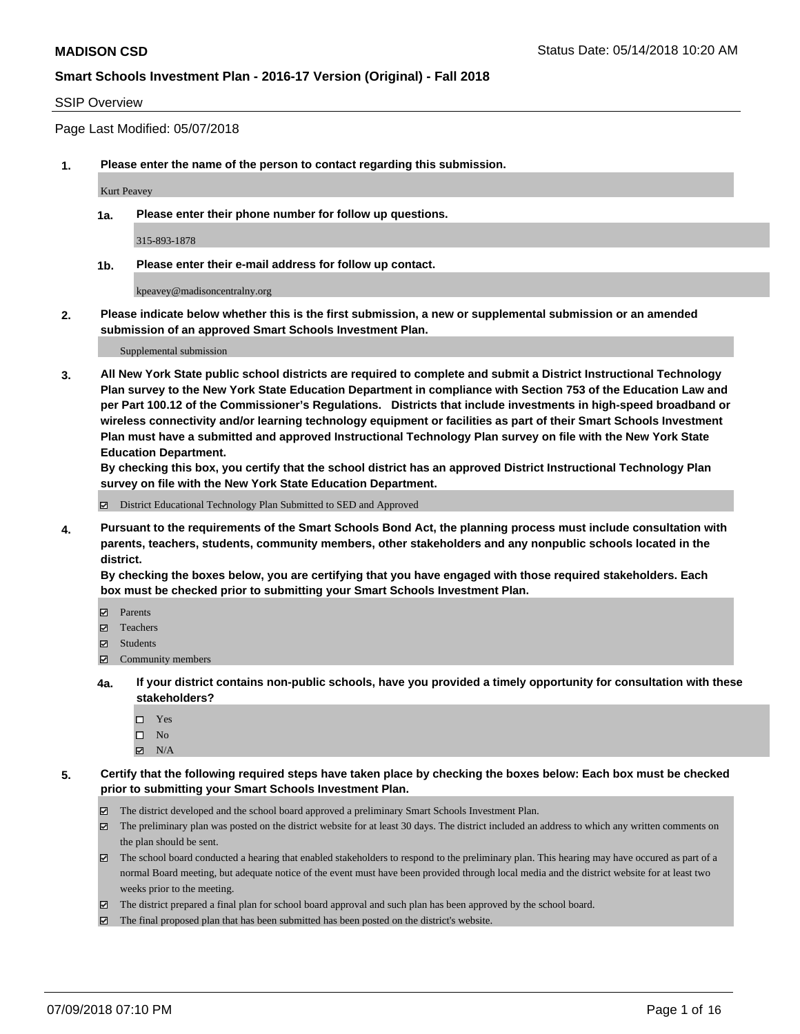#### SSIP Overview

Page Last Modified: 05/07/2018

**1. Please enter the name of the person to contact regarding this submission.**

Kurt Peavey

**1a. Please enter their phone number for follow up questions.**

315-893-1878

**1b. Please enter their e-mail address for follow up contact.**

kpeavey@madisoncentralny.org

**2. Please indicate below whether this is the first submission, a new or supplemental submission or an amended submission of an approved Smart Schools Investment Plan.**

Supplemental submission

**3. All New York State public school districts are required to complete and submit a District Instructional Technology Plan survey to the New York State Education Department in compliance with Section 753 of the Education Law and per Part 100.12 of the Commissioner's Regulations. Districts that include investments in high-speed broadband or wireless connectivity and/or learning technology equipment or facilities as part of their Smart Schools Investment Plan must have a submitted and approved Instructional Technology Plan survey on file with the New York State Education Department.** 

**By checking this box, you certify that the school district has an approved District Instructional Technology Plan survey on file with the New York State Education Department.**

District Educational Technology Plan Submitted to SED and Approved

**4. Pursuant to the requirements of the Smart Schools Bond Act, the planning process must include consultation with parents, teachers, students, community members, other stakeholders and any nonpublic schools located in the district.** 

**By checking the boxes below, you are certifying that you have engaged with those required stakeholders. Each box must be checked prior to submitting your Smart Schools Investment Plan.**

- Parents
- Teachers
- Students
- Community members
- **4a. If your district contains non-public schools, have you provided a timely opportunity for consultation with these stakeholders?**
	- Yes
	- $\square$  No
	- $\boxtimes$  N/A
- **5. Certify that the following required steps have taken place by checking the boxes below: Each box must be checked prior to submitting your Smart Schools Investment Plan.**
	- The district developed and the school board approved a preliminary Smart Schools Investment Plan.
	- $\boxtimes$  The preliminary plan was posted on the district website for at least 30 days. The district included an address to which any written comments on the plan should be sent.
	- $\boxtimes$  The school board conducted a hearing that enabled stakeholders to respond to the preliminary plan. This hearing may have occured as part of a normal Board meeting, but adequate notice of the event must have been provided through local media and the district website for at least two weeks prior to the meeting.
	- The district prepared a final plan for school board approval and such plan has been approved by the school board.
	- $\boxtimes$  The final proposed plan that has been submitted has been posted on the district's website.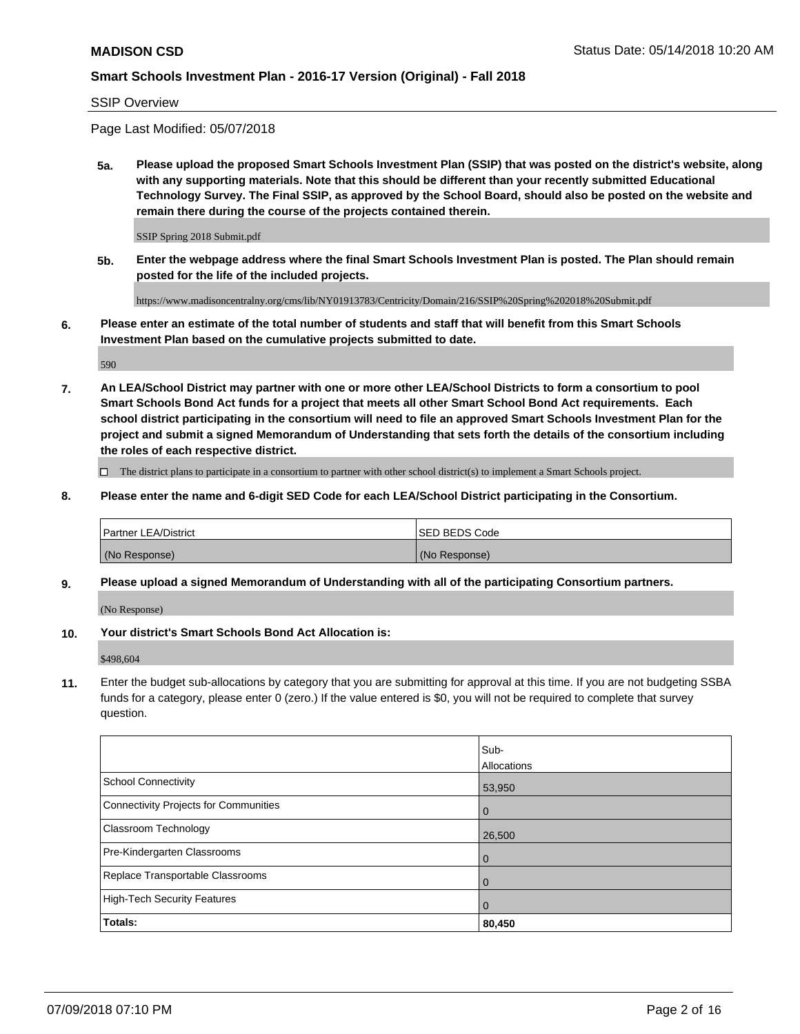SSIP Overview

Page Last Modified: 05/07/2018

**5a. Please upload the proposed Smart Schools Investment Plan (SSIP) that was posted on the district's website, along with any supporting materials. Note that this should be different than your recently submitted Educational Technology Survey. The Final SSIP, as approved by the School Board, should also be posted on the website and remain there during the course of the projects contained therein.**

SSIP Spring 2018 Submit.pdf

**5b. Enter the webpage address where the final Smart Schools Investment Plan is posted. The Plan should remain posted for the life of the included projects.**

https://www.madisoncentralny.org/cms/lib/NY01913783/Centricity/Domain/216/SSIP%20Spring%202018%20Submit.pdf

**6. Please enter an estimate of the total number of students and staff that will benefit from this Smart Schools Investment Plan based on the cumulative projects submitted to date.**

590

**7. An LEA/School District may partner with one or more other LEA/School Districts to form a consortium to pool Smart Schools Bond Act funds for a project that meets all other Smart School Bond Act requirements. Each school district participating in the consortium will need to file an approved Smart Schools Investment Plan for the project and submit a signed Memorandum of Understanding that sets forth the details of the consortium including the roles of each respective district.**

 $\Box$  The district plans to participate in a consortium to partner with other school district(s) to implement a Smart Schools project.

**8. Please enter the name and 6-digit SED Code for each LEA/School District participating in the Consortium.**

| <b>Partner LEA/District</b> | <b>ISED BEDS Code</b> |
|-----------------------------|-----------------------|
| (No Response)               | (No Response)         |

#### **9. Please upload a signed Memorandum of Understanding with all of the participating Consortium partners.**

(No Response)

**10. Your district's Smart Schools Bond Act Allocation is:**

\$498,604

**11.** Enter the budget sub-allocations by category that you are submitting for approval at this time. If you are not budgeting SSBA funds for a category, please enter 0 (zero.) If the value entered is \$0, you will not be required to complete that survey question.

|                                       | Sub-<br>Allocations |
|---------------------------------------|---------------------|
| <b>School Connectivity</b>            | 53,950              |
| Connectivity Projects for Communities | $\overline{0}$      |
| Classroom Technology                  | 26,500              |
| Pre-Kindergarten Classrooms           | $\overline{0}$      |
| Replace Transportable Classrooms      | 0                   |
| <b>High-Tech Security Features</b>    | $\overline{0}$      |
| Totals:                               | 80,450              |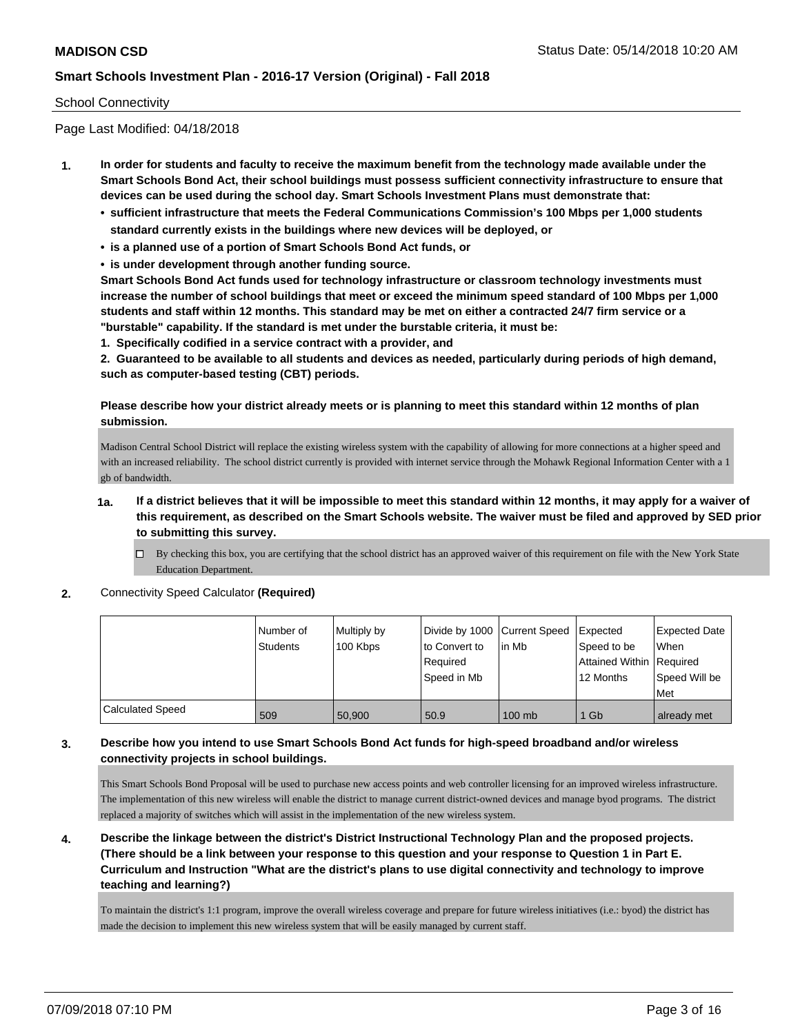#### School Connectivity

Page Last Modified: 04/18/2018

- **1. In order for students and faculty to receive the maximum benefit from the technology made available under the Smart Schools Bond Act, their school buildings must possess sufficient connectivity infrastructure to ensure that devices can be used during the school day. Smart Schools Investment Plans must demonstrate that:**
	- **• sufficient infrastructure that meets the Federal Communications Commission's 100 Mbps per 1,000 students standard currently exists in the buildings where new devices will be deployed, or**
	- **• is a planned use of a portion of Smart Schools Bond Act funds, or**
	- **• is under development through another funding source.**

**Smart Schools Bond Act funds used for technology infrastructure or classroom technology investments must increase the number of school buildings that meet or exceed the minimum speed standard of 100 Mbps per 1,000 students and staff within 12 months. This standard may be met on either a contracted 24/7 firm service or a "burstable" capability. If the standard is met under the burstable criteria, it must be:**

**1. Specifically codified in a service contract with a provider, and**

**2. Guaranteed to be available to all students and devices as needed, particularly during periods of high demand, such as computer-based testing (CBT) periods.**

#### **Please describe how your district already meets or is planning to meet this standard within 12 months of plan submission.**

Madison Central School District will replace the existing wireless system with the capability of allowing for more connections at a higher speed and with an increased reliability. The school district currently is provided with internet service through the Mohawk Regional Information Center with a 1 gb of bandwidth.

- **1a. If a district believes that it will be impossible to meet this standard within 12 months, it may apply for a waiver of this requirement, as described on the Smart Schools website. The waiver must be filed and approved by SED prior to submitting this survey.**
	- By checking this box, you are certifying that the school district has an approved waiver of this requirement on file with the New York State Education Department.
- **2.** Connectivity Speed Calculator **(Required)**

|                         | Number of<br><b>Students</b> | Multiply by<br>100 Kbps | Divide by 1000 Current Speed<br>to Convert to<br>Reauired<br>Speed in Mb | lin Mb   | Expected<br>Speed to be<br>Attained Within   Required<br>12 Months | <b>Expected Date</b><br><b>When</b><br>Speed Will be<br>l Met |
|-------------------------|------------------------------|-------------------------|--------------------------------------------------------------------------|----------|--------------------------------------------------------------------|---------------------------------------------------------------|
| <b>Calculated Speed</b> | 509                          | 50.900                  | 50.9                                                                     | $100$ mb | 1 Gb                                                               | already met                                                   |

## **3. Describe how you intend to use Smart Schools Bond Act funds for high-speed broadband and/or wireless connectivity projects in school buildings.**

This Smart Schools Bond Proposal will be used to purchase new access points and web controller licensing for an improved wireless infrastructure. The implementation of this new wireless will enable the district to manage current district-owned devices and manage byod programs. The district replaced a majority of switches which will assist in the implementation of the new wireless system.

**4. Describe the linkage between the district's District Instructional Technology Plan and the proposed projects. (There should be a link between your response to this question and your response to Question 1 in Part E. Curriculum and Instruction "What are the district's plans to use digital connectivity and technology to improve teaching and learning?)**

To maintain the district's 1:1 program, improve the overall wireless coverage and prepare for future wireless initiatives (i.e.: byod) the district has made the decision to implement this new wireless system that will be easily managed by current staff.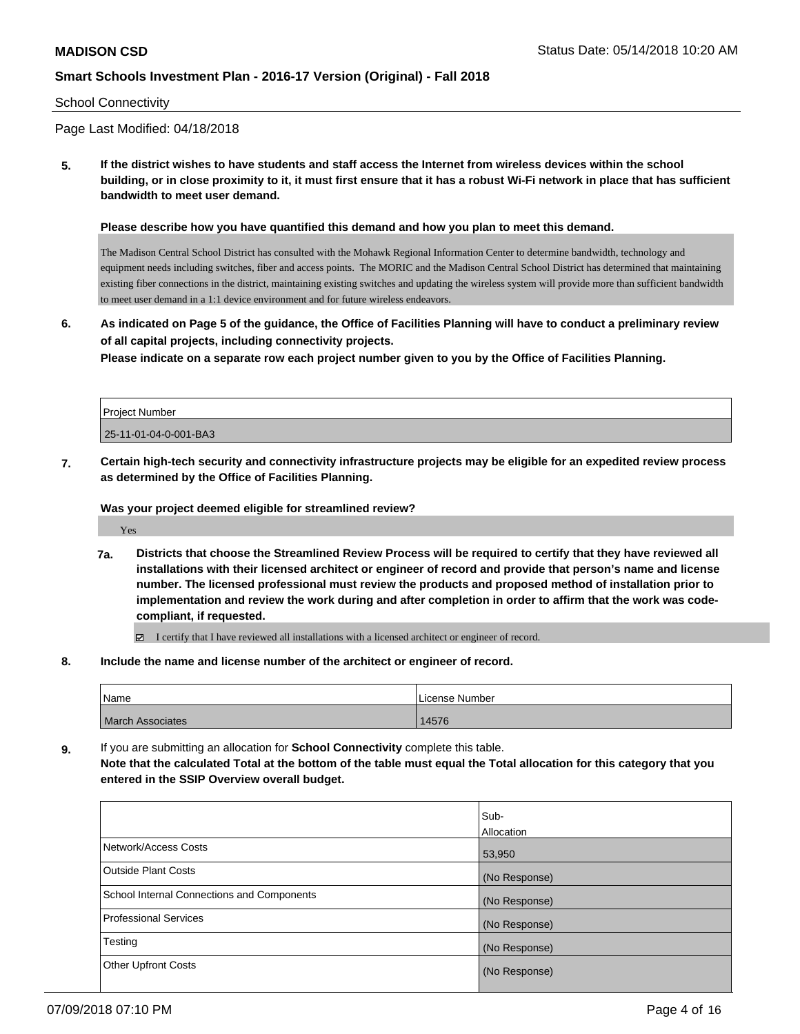#### School Connectivity

Page Last Modified: 04/18/2018

**5. If the district wishes to have students and staff access the Internet from wireless devices within the school building, or in close proximity to it, it must first ensure that it has a robust Wi-Fi network in place that has sufficient bandwidth to meet user demand.**

**Please describe how you have quantified this demand and how you plan to meet this demand.**

The Madison Central School District has consulted with the Mohawk Regional Information Center to determine bandwidth, technology and equipment needs including switches, fiber and access points. The MORIC and the Madison Central School District has determined that maintaining existing fiber connections in the district, maintaining existing switches and updating the wireless system will provide more than sufficient bandwidth to meet user demand in a 1:1 device environment and for future wireless endeavors.

**6. As indicated on Page 5 of the guidance, the Office of Facilities Planning will have to conduct a preliminary review of all capital projects, including connectivity projects.**

**Please indicate on a separate row each project number given to you by the Office of Facilities Planning.**

| Project Number        |  |
|-----------------------|--|
| 25-11-01-04-0-001-BA3 |  |

**7. Certain high-tech security and connectivity infrastructure projects may be eligible for an expedited review process as determined by the Office of Facilities Planning.**

**Was your project deemed eligible for streamlined review?**

Yes

**7a. Districts that choose the Streamlined Review Process will be required to certify that they have reviewed all installations with their licensed architect or engineer of record and provide that person's name and license number. The licensed professional must review the products and proposed method of installation prior to implementation and review the work during and after completion in order to affirm that the work was codecompliant, if requested.**

I certify that I have reviewed all installations with a licensed architect or engineer of record.

**8. Include the name and license number of the architect or engineer of record.**

| Name                    | l License Number |
|-------------------------|------------------|
| <b>March Associates</b> | 14576            |

**9.** If you are submitting an allocation for **School Connectivity** complete this table. **Note that the calculated Total at the bottom of the table must equal the Total allocation for this category that you entered in the SSIP Overview overall budget.** 

|                                            | Sub-              |
|--------------------------------------------|-------------------|
|                                            | <b>Allocation</b> |
| Network/Access Costs                       | 53,950            |
| <b>Outside Plant Costs</b>                 | (No Response)     |
| School Internal Connections and Components | (No Response)     |
| <b>Professional Services</b>               | (No Response)     |
| Testing                                    | (No Response)     |
| <b>Other Upfront Costs</b>                 | (No Response)     |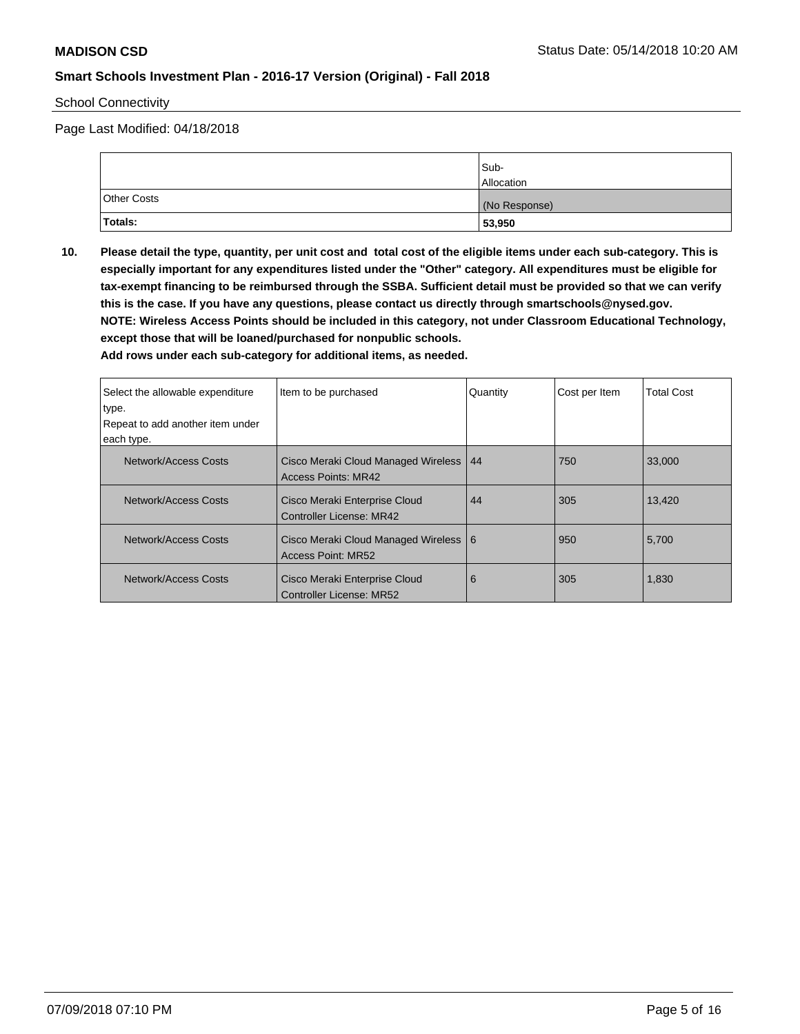School Connectivity

Page Last Modified: 04/18/2018

|             | Sub-<br><b>Allocation</b> |
|-------------|---------------------------|
| Other Costs | (No Response)             |
| Totals:     | 53,950                    |

**10. Please detail the type, quantity, per unit cost and total cost of the eligible items under each sub-category. This is especially important for any expenditures listed under the "Other" category. All expenditures must be eligible for tax-exempt financing to be reimbursed through the SSBA. Sufficient detail must be provided so that we can verify this is the case. If you have any questions, please contact us directly through smartschools@nysed.gov. NOTE: Wireless Access Points should be included in this category, not under Classroom Educational Technology, except those that will be loaned/purchased for nonpublic schools.**

| Select the allowable expenditure<br>type. | Item to be purchased                                                   | Quantity | Cost per Item | <b>Total Cost</b> |
|-------------------------------------------|------------------------------------------------------------------------|----------|---------------|-------------------|
| Repeat to add another item under          |                                                                        |          |               |                   |
| each type.                                |                                                                        |          |               |                   |
| Network/Access Costs                      | Cisco Meraki Cloud Managed Wireless   44<br><b>Access Points: MR42</b> |          | 750           | 33,000            |
| Network/Access Costs                      | Cisco Meraki Enterprise Cloud<br><b>Controller License: MR42</b>       | 44       | 305           | 13.420            |
| Network/Access Costs                      | Cisco Meraki Cloud Managed Wireless   6<br><b>Access Point: MR52</b>   |          | 950           | 5,700             |
| Network/Access Costs                      | Cisco Meraki Enterprise Cloud<br><b>Controller License: MR52</b>       | 6        | 305           | 1,830             |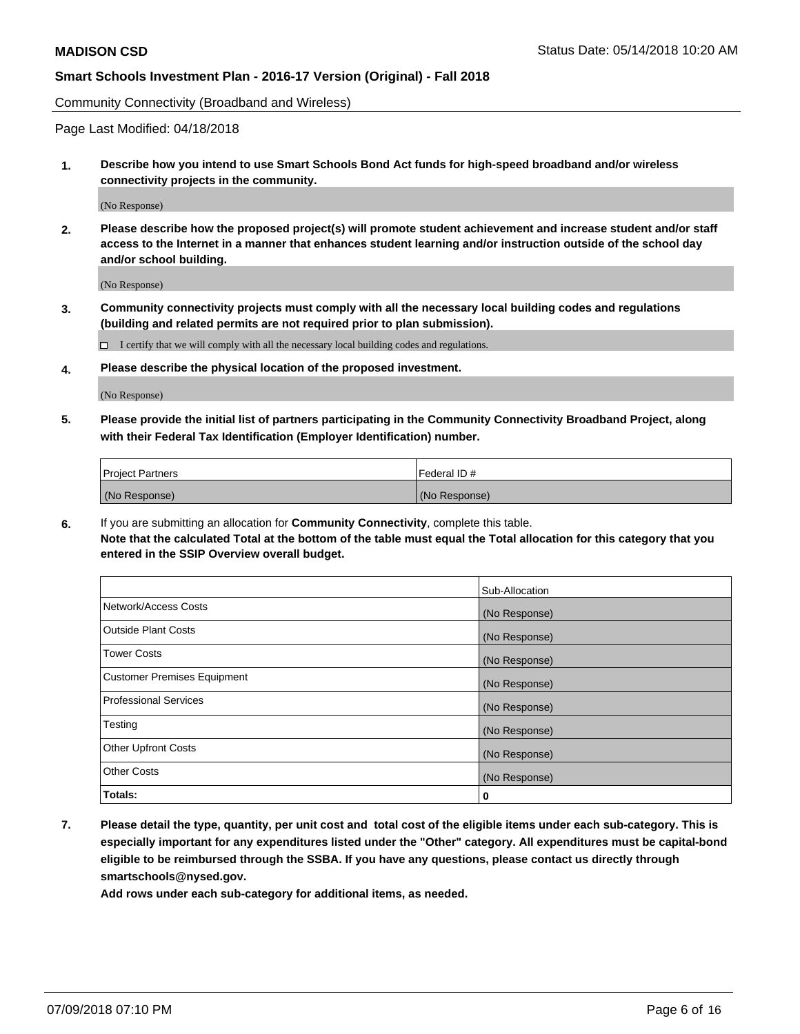Community Connectivity (Broadband and Wireless)

Page Last Modified: 04/18/2018

**1. Describe how you intend to use Smart Schools Bond Act funds for high-speed broadband and/or wireless connectivity projects in the community.**

(No Response)

**2. Please describe how the proposed project(s) will promote student achievement and increase student and/or staff access to the Internet in a manner that enhances student learning and/or instruction outside of the school day and/or school building.**

(No Response)

**3. Community connectivity projects must comply with all the necessary local building codes and regulations (building and related permits are not required prior to plan submission).**

 $\Box$  I certify that we will comply with all the necessary local building codes and regulations.

**4. Please describe the physical location of the proposed investment.**

(No Response)

**5. Please provide the initial list of partners participating in the Community Connectivity Broadband Project, along with their Federal Tax Identification (Employer Identification) number.**

| <b>Project Partners</b> | l Federal ID # |
|-------------------------|----------------|
| (No Response)           | (No Response)  |

**6.** If you are submitting an allocation for **Community Connectivity**, complete this table. **Note that the calculated Total at the bottom of the table must equal the Total allocation for this category that you entered in the SSIP Overview overall budget.**

|                                    | Sub-Allocation |
|------------------------------------|----------------|
| Network/Access Costs               | (No Response)  |
| Outside Plant Costs                | (No Response)  |
| <b>Tower Costs</b>                 | (No Response)  |
| <b>Customer Premises Equipment</b> | (No Response)  |
| Professional Services              | (No Response)  |
| Testing                            | (No Response)  |
| <b>Other Upfront Costs</b>         | (No Response)  |
| <b>Other Costs</b>                 | (No Response)  |
| Totals:                            | 0              |

**7. Please detail the type, quantity, per unit cost and total cost of the eligible items under each sub-category. This is especially important for any expenditures listed under the "Other" category. All expenditures must be capital-bond eligible to be reimbursed through the SSBA. If you have any questions, please contact us directly through smartschools@nysed.gov.**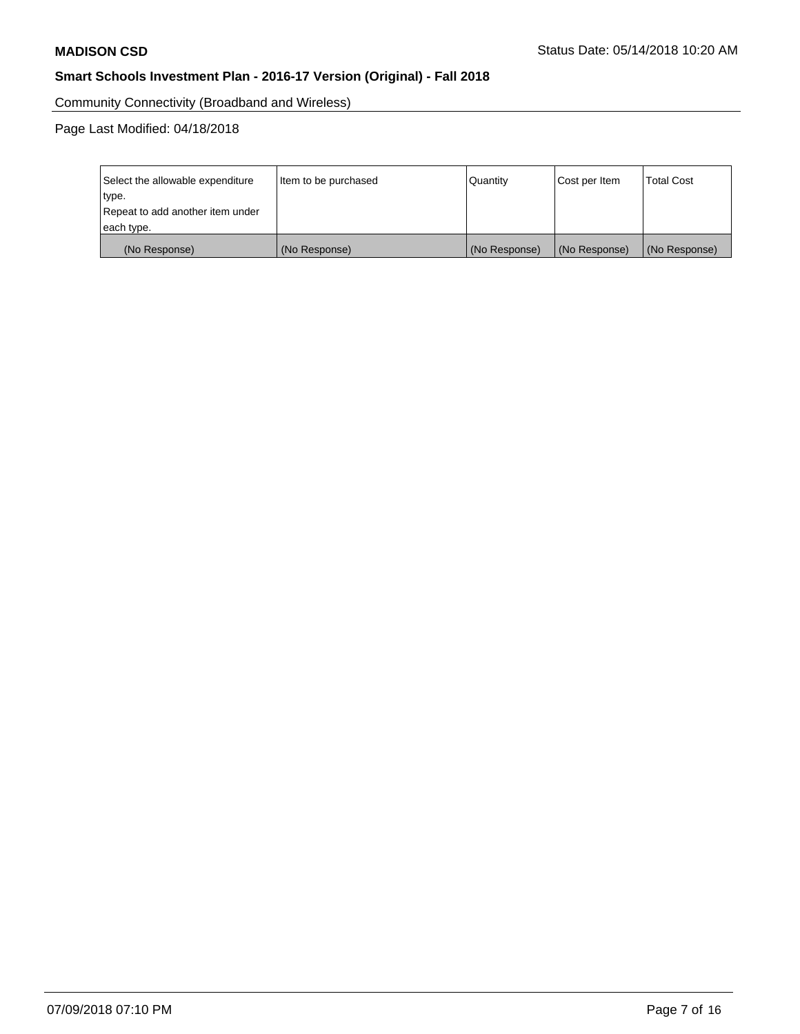Community Connectivity (Broadband and Wireless)

Page Last Modified: 04/18/2018

| Select the allowable expenditure<br>type.<br>Repeat to add another item under | Item to be purchased | Quantity      | Cost per Item | <b>Total Cost</b> |
|-------------------------------------------------------------------------------|----------------------|---------------|---------------|-------------------|
| each type.                                                                    |                      |               |               |                   |
| (No Response)                                                                 | (No Response)        | (No Response) | (No Response) | (No Response)     |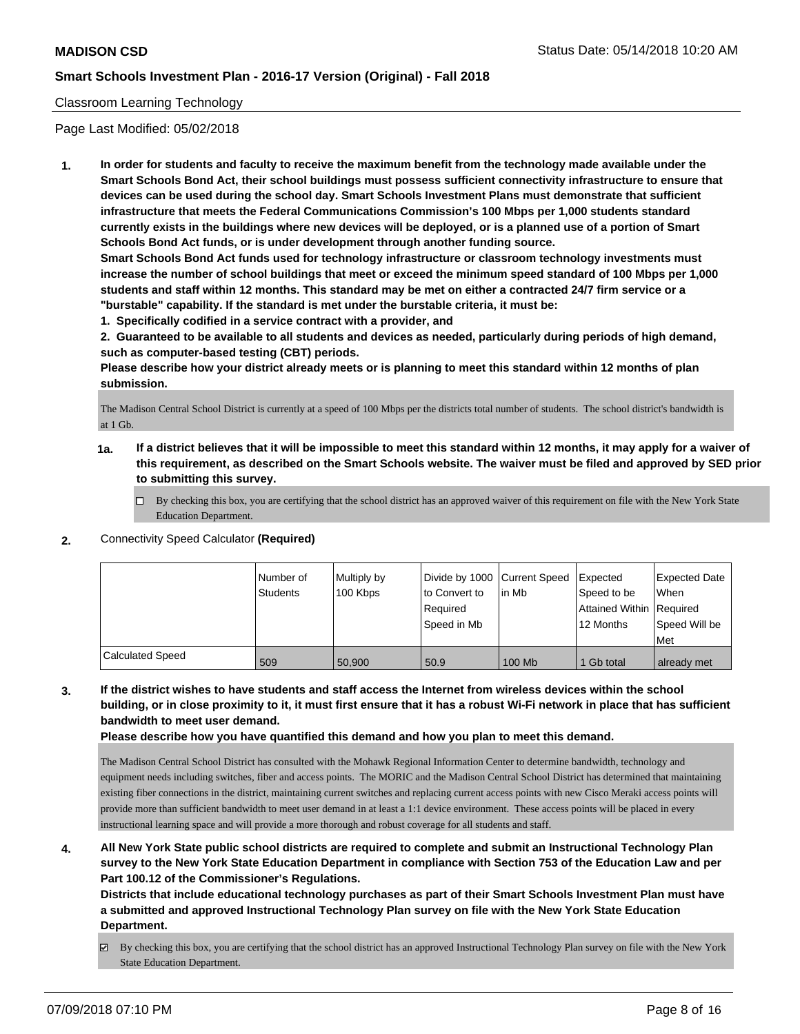#### Classroom Learning Technology

Page Last Modified: 05/02/2018

**1. In order for students and faculty to receive the maximum benefit from the technology made available under the Smart Schools Bond Act, their school buildings must possess sufficient connectivity infrastructure to ensure that devices can be used during the school day. Smart Schools Investment Plans must demonstrate that sufficient infrastructure that meets the Federal Communications Commission's 100 Mbps per 1,000 students standard currently exists in the buildings where new devices will be deployed, or is a planned use of a portion of Smart Schools Bond Act funds, or is under development through another funding source.**

**Smart Schools Bond Act funds used for technology infrastructure or classroom technology investments must increase the number of school buildings that meet or exceed the minimum speed standard of 100 Mbps per 1,000 students and staff within 12 months. This standard may be met on either a contracted 24/7 firm service or a "burstable" capability. If the standard is met under the burstable criteria, it must be:**

**1. Specifically codified in a service contract with a provider, and**

**2. Guaranteed to be available to all students and devices as needed, particularly during periods of high demand, such as computer-based testing (CBT) periods.**

**Please describe how your district already meets or is planning to meet this standard within 12 months of plan submission.**

The Madison Central School District is currently at a speed of 100 Mbps per the districts total number of students. The school district's bandwidth is at 1 Gb.

**1a. If a district believes that it will be impossible to meet this standard within 12 months, it may apply for a waiver of this requirement, as described on the Smart Schools website. The waiver must be filed and approved by SED prior to submitting this survey.**

By checking this box, you are certifying that the school district has an approved waiver of this requirement on file with the New York State Education Department.

**2.** Connectivity Speed Calculator **(Required)**

|                         | Number of<br><b>Students</b> | Multiply by<br>100 Kbps | Divide by 1000 Current Speed<br>to Convert to<br>Reauired<br>Speed in Mb | l in Mb | Expected<br>Speed to be<br>Attained Within   Required<br>12 Months | <b>Expected Date</b><br><b>When</b><br>Speed Will be<br>Met |
|-------------------------|------------------------------|-------------------------|--------------------------------------------------------------------------|---------|--------------------------------------------------------------------|-------------------------------------------------------------|
| <b>Calculated Speed</b> | 509                          | 50,900                  | 50.9                                                                     | 100 Mb  | 1 Gb total                                                         | already met                                                 |

## **3. If the district wishes to have students and staff access the Internet from wireless devices within the school building, or in close proximity to it, it must first ensure that it has a robust Wi-Fi network in place that has sufficient bandwidth to meet user demand.**

**Please describe how you have quantified this demand and how you plan to meet this demand.**

The Madison Central School District has consulted with the Mohawk Regional Information Center to determine bandwidth, technology and equipment needs including switches, fiber and access points. The MORIC and the Madison Central School District has determined that maintaining existing fiber connections in the district, maintaining current switches and replacing current access points with new Cisco Meraki access points will provide more than sufficient bandwidth to meet user demand in at least a 1:1 device environment. These access points will be placed in every instructional learning space and will provide a more thorough and robust coverage for all students and staff.

## **4. All New York State public school districts are required to complete and submit an Instructional Technology Plan survey to the New York State Education Department in compliance with Section 753 of the Education Law and per Part 100.12 of the Commissioner's Regulations.**

**Districts that include educational technology purchases as part of their Smart Schools Investment Plan must have a submitted and approved Instructional Technology Plan survey on file with the New York State Education Department.**

By checking this box, you are certifying that the school district has an approved Instructional Technology Plan survey on file with the New York State Education Department.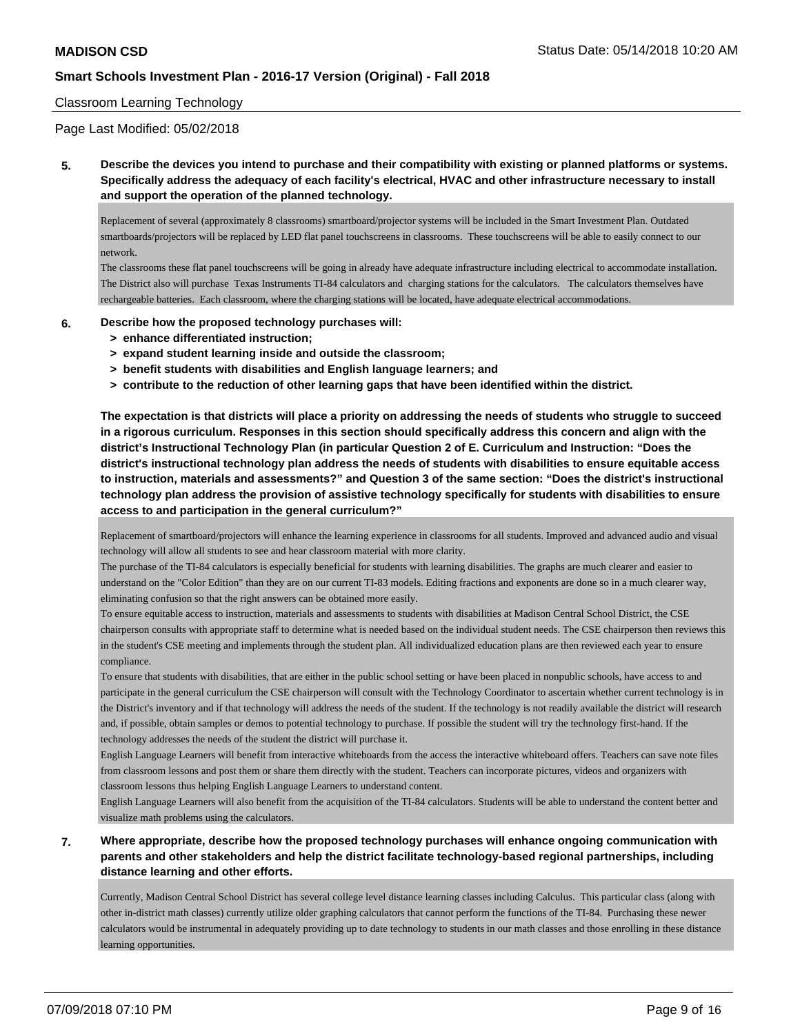#### Classroom Learning Technology

Page Last Modified: 05/02/2018

**5. Describe the devices you intend to purchase and their compatibility with existing or planned platforms or systems. Specifically address the adequacy of each facility's electrical, HVAC and other infrastructure necessary to install and support the operation of the planned technology.**

Replacement of several (approximately 8 classrooms) smartboard/projector systems will be included in the Smart Investment Plan. Outdated smartboards/projectors will be replaced by LED flat panel touchscreens in classrooms. These touchscreens will be able to easily connect to our network.

The classrooms these flat panel touchscreens will be going in already have adequate infrastructure including electrical to accommodate installation. The District also will purchase Texas Instruments TI-84 calculators and charging stations for the calculators. The calculators themselves have rechargeable batteries. Each classroom, where the charging stations will be located, have adequate electrical accommodations.

- **6. Describe how the proposed technology purchases will:**
	- **> enhance differentiated instruction;**
	- **> expand student learning inside and outside the classroom;**
	- **> benefit students with disabilities and English language learners; and**
	- **> contribute to the reduction of other learning gaps that have been identified within the district.**

**The expectation is that districts will place a priority on addressing the needs of students who struggle to succeed in a rigorous curriculum. Responses in this section should specifically address this concern and align with the district's Instructional Technology Plan (in particular Question 2 of E. Curriculum and Instruction: "Does the district's instructional technology plan address the needs of students with disabilities to ensure equitable access to instruction, materials and assessments?" and Question 3 of the same section: "Does the district's instructional technology plan address the provision of assistive technology specifically for students with disabilities to ensure access to and participation in the general curriculum?"**

Replacement of smartboard/projectors will enhance the learning experience in classrooms for all students. Improved and advanced audio and visual technology will allow all students to see and hear classroom material with more clarity.

The purchase of the TI-84 calculators is especially beneficial for students with learning disabilities. The graphs are much clearer and easier to understand on the "Color Edition" than they are on our current TI-83 models. Editing fractions and exponents are done so in a much clearer way, eliminating confusion so that the right answers can be obtained more easily.

To ensure equitable access to instruction, materials and assessments to students with disabilities at Madison Central School District, the CSE chairperson consults with appropriate staff to determine what is needed based on the individual student needs. The CSE chairperson then reviews this in the student's CSE meeting and implements through the student plan. All individualized education plans are then reviewed each year to ensure compliance.

To ensure that students with disabilities, that are either in the public school setting or have been placed in nonpublic schools, have access to and participate in the general curriculum the CSE chairperson will consult with the Technology Coordinator to ascertain whether current technology is in the District's inventory and if that technology will address the needs of the student. If the technology is not readily available the district will research and, if possible, obtain samples or demos to potential technology to purchase. If possible the student will try the technology first-hand. If the technology addresses the needs of the student the district will purchase it.

English Language Learners will benefit from interactive whiteboards from the access the interactive whiteboard offers. Teachers can save note files from classroom lessons and post them or share them directly with the student. Teachers can incorporate pictures, videos and organizers with classroom lessons thus helping English Language Learners to understand content.

English Language Learners will also benefit from the acquisition of the TI-84 calculators. Students will be able to understand the content better and visualize math problems using the calculators.

## **7. Where appropriate, describe how the proposed technology purchases will enhance ongoing communication with parents and other stakeholders and help the district facilitate technology-based regional partnerships, including distance learning and other efforts.**

Currently, Madison Central School District has several college level distance learning classes including Calculus. This particular class (along with other in-district math classes) currently utilize older graphing calculators that cannot perform the functions of the TI-84. Purchasing these newer calculators would be instrumental in adequately providing up to date technology to students in our math classes and those enrolling in these distance learning opportunities.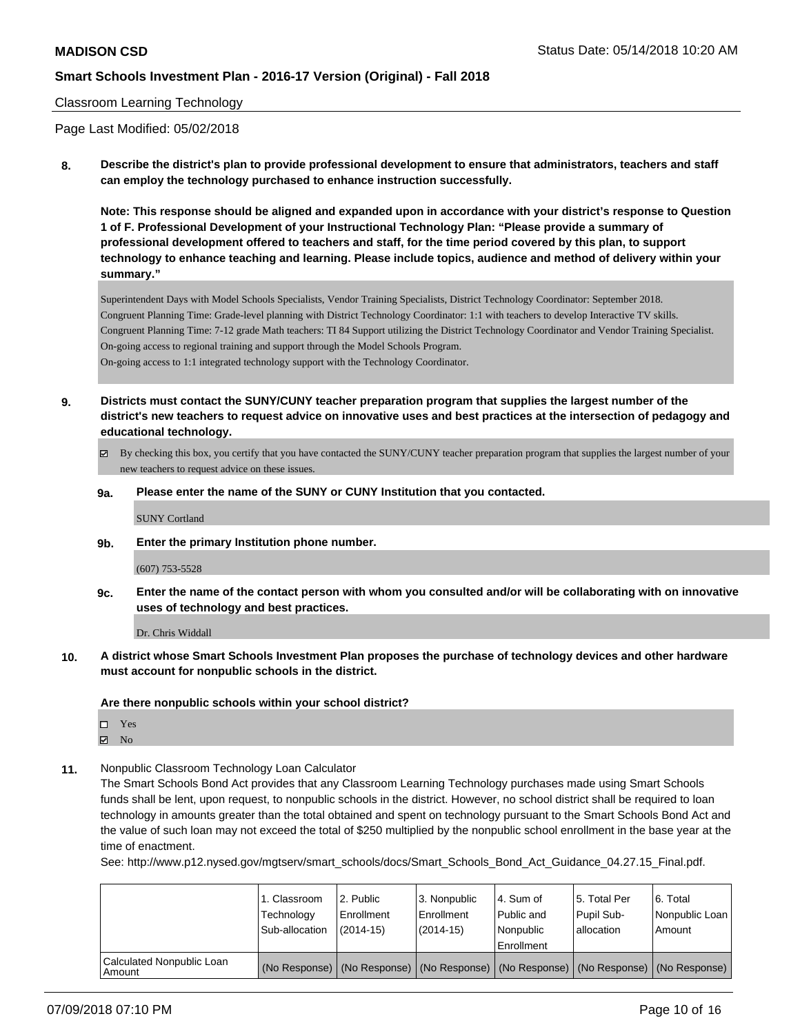#### Classroom Learning Technology

Page Last Modified: 05/02/2018

**8. Describe the district's plan to provide professional development to ensure that administrators, teachers and staff can employ the technology purchased to enhance instruction successfully.**

**Note: This response should be aligned and expanded upon in accordance with your district's response to Question 1 of F. Professional Development of your Instructional Technology Plan: "Please provide a summary of professional development offered to teachers and staff, for the time period covered by this plan, to support technology to enhance teaching and learning. Please include topics, audience and method of delivery within your summary."**

Superintendent Days with Model Schools Specialists, Vendor Training Specialists, District Technology Coordinator: September 2018. Congruent Planning Time: Grade-level planning with District Technology Coordinator: 1:1 with teachers to develop Interactive TV skills. Congruent Planning Time: 7-12 grade Math teachers: TI 84 Support utilizing the District Technology Coordinator and Vendor Training Specialist. On-going access to regional training and support through the Model Schools Program.

On-going access to 1:1 integrated technology support with the Technology Coordinator.

**9. Districts must contact the SUNY/CUNY teacher preparation program that supplies the largest number of the district's new teachers to request advice on innovative uses and best practices at the intersection of pedagogy and educational technology.**

- By checking this box, you certify that you have contacted the SUNY/CUNY teacher preparation program that supplies the largest number of your new teachers to request advice on these issues.
- **9a. Please enter the name of the SUNY or CUNY Institution that you contacted.**

SUNY Cortland

**9b. Enter the primary Institution phone number.**

(607) 753-5528

**9c. Enter the name of the contact person with whom you consulted and/or will be collaborating with on innovative uses of technology and best practices.**

Dr. Chris Widdall

**10. A district whose Smart Schools Investment Plan proposes the purchase of technology devices and other hardware must account for nonpublic schools in the district.**

**Are there nonpublic schools within your school district?**

| ┒ | Yes |
|---|-----|
| ↗ | No  |

**11.** Nonpublic Classroom Technology Loan Calculator

The Smart Schools Bond Act provides that any Classroom Learning Technology purchases made using Smart Schools funds shall be lent, upon request, to nonpublic schools in the district. However, no school district shall be required to loan technology in amounts greater than the total obtained and spent on technology pursuant to the Smart Schools Bond Act and the value of such loan may not exceed the total of \$250 multiplied by the nonpublic school enrollment in the base year at the time of enactment.

See: http://www.p12.nysed.gov/mgtserv/smart\_schools/docs/Smart\_Schools\_Bond\_Act\_Guidance\_04.27.15\_Final.pdf.

|                                     | 1. Classroom<br>Technology<br>Sub-allocation | l 2. Public<br>Enrollment<br>(2014-15) | 3. Nonpublic<br>Enrollment<br>$(2014-15)$ | l 4. Sum of<br>Public and<br>l Nonpublic<br>Enrollment                                        | 15. Total Per<br>Pupil Sub-<br>allocation | 6. Total<br>l Nonpublic Loan l<br>Amount |
|-------------------------------------|----------------------------------------------|----------------------------------------|-------------------------------------------|-----------------------------------------------------------------------------------------------|-------------------------------------------|------------------------------------------|
| Calculated Nonpublic Loan<br>Amount |                                              |                                        |                                           | (No Response)   (No Response)   (No Response)   (No Response)   (No Response)   (No Response) |                                           |                                          |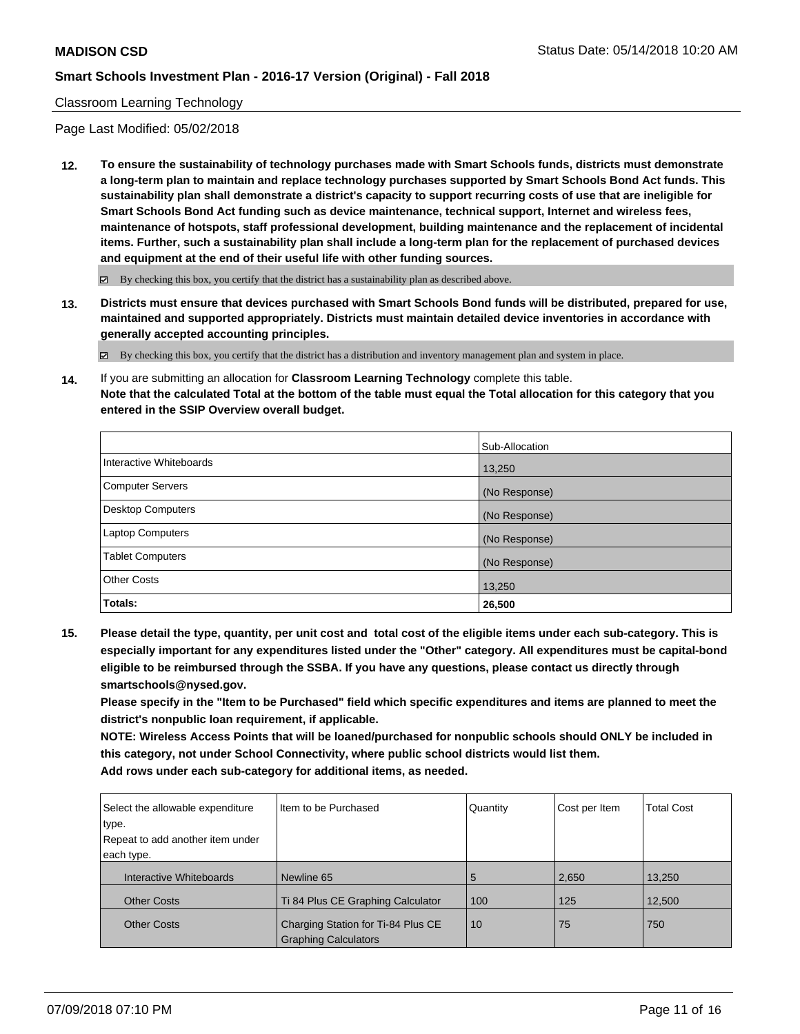#### Classroom Learning Technology

Page Last Modified: 05/02/2018

**12. To ensure the sustainability of technology purchases made with Smart Schools funds, districts must demonstrate a long-term plan to maintain and replace technology purchases supported by Smart Schools Bond Act funds. This sustainability plan shall demonstrate a district's capacity to support recurring costs of use that are ineligible for Smart Schools Bond Act funding such as device maintenance, technical support, Internet and wireless fees, maintenance of hotspots, staff professional development, building maintenance and the replacement of incidental items. Further, such a sustainability plan shall include a long-term plan for the replacement of purchased devices and equipment at the end of their useful life with other funding sources.**

 $\boxtimes$  By checking this box, you certify that the district has a sustainability plan as described above.

**13. Districts must ensure that devices purchased with Smart Schools Bond funds will be distributed, prepared for use, maintained and supported appropriately. Districts must maintain detailed device inventories in accordance with generally accepted accounting principles.**

By checking this box, you certify that the district has a distribution and inventory management plan and system in place.

**14.** If you are submitting an allocation for **Classroom Learning Technology** complete this table. **Note that the calculated Total at the bottom of the table must equal the Total allocation for this category that you entered in the SSIP Overview overall budget.**

|                          | Sub-Allocation |
|--------------------------|----------------|
| Interactive Whiteboards  | 13,250         |
| Computer Servers         | (No Response)  |
| <b>Desktop Computers</b> | (No Response)  |
| Laptop Computers         | (No Response)  |
| <b>Tablet Computers</b>  | (No Response)  |
| <b>Other Costs</b>       | 13,250         |
| Totals:                  | 26,500         |

**15. Please detail the type, quantity, per unit cost and total cost of the eligible items under each sub-category. This is especially important for any expenditures listed under the "Other" category. All expenditures must be capital-bond eligible to be reimbursed through the SSBA. If you have any questions, please contact us directly through smartschools@nysed.gov.**

**Please specify in the "Item to be Purchased" field which specific expenditures and items are planned to meet the district's nonpublic loan requirement, if applicable.**

**NOTE: Wireless Access Points that will be loaned/purchased for nonpublic schools should ONLY be included in this category, not under School Connectivity, where public school districts would list them. Add rows under each sub-category for additional items, as needed.**

| Select the allowable expenditure | I Item to be Purchased             | Quantity | Cost per Item | <b>Total Cost</b> |
|----------------------------------|------------------------------------|----------|---------------|-------------------|
| type.                            |                                    |          |               |                   |
| Repeat to add another item under |                                    |          |               |                   |
| each type.                       |                                    |          |               |                   |
| Interactive Whiteboards          | Newline 65                         | 5        | 2,650         | 13,250            |
| <b>Other Costs</b>               | Ti 84 Plus CE Graphing Calculator  | 100      | 125           | 12,500            |
| <b>Other Costs</b>               | Charging Station for Ti-84 Plus CE | 10       | 75            | 750               |
|                                  | <b>Graphing Calculators</b>        |          |               |                   |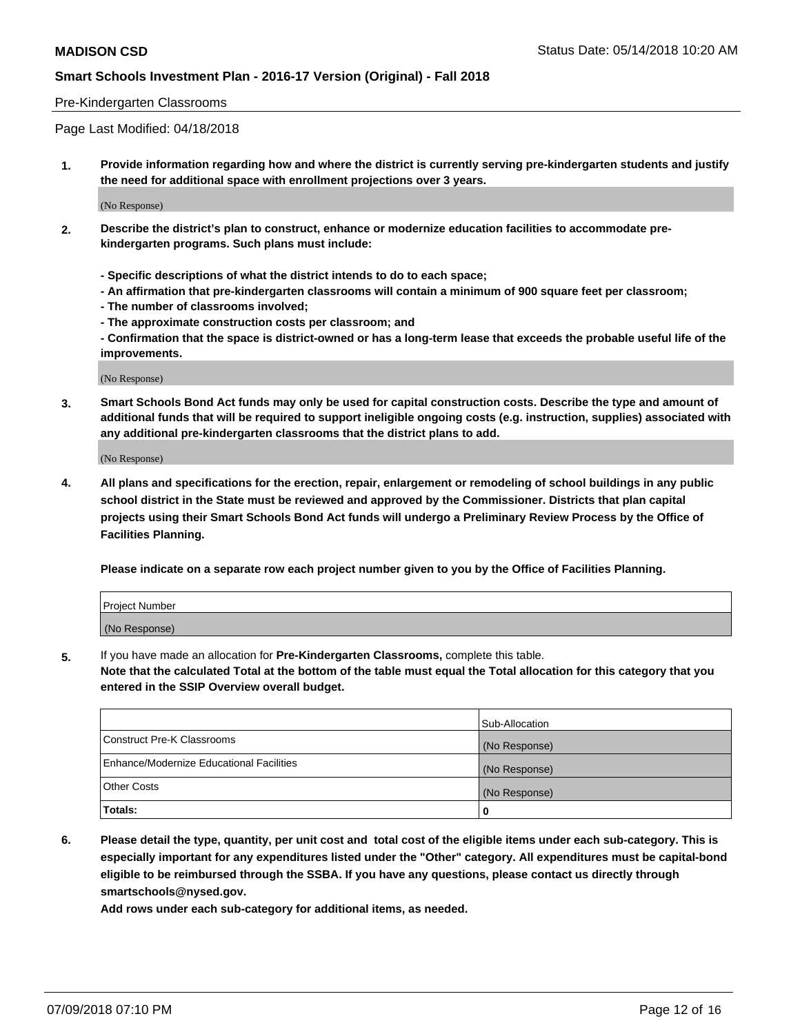#### Pre-Kindergarten Classrooms

Page Last Modified: 04/18/2018

**1. Provide information regarding how and where the district is currently serving pre-kindergarten students and justify the need for additional space with enrollment projections over 3 years.**

(No Response)

- **2. Describe the district's plan to construct, enhance or modernize education facilities to accommodate prekindergarten programs. Such plans must include:**
	- **Specific descriptions of what the district intends to do to each space;**
	- **An affirmation that pre-kindergarten classrooms will contain a minimum of 900 square feet per classroom;**
	- **The number of classrooms involved;**
	- **The approximate construction costs per classroom; and**
	- **Confirmation that the space is district-owned or has a long-term lease that exceeds the probable useful life of the improvements.**

(No Response)

**3. Smart Schools Bond Act funds may only be used for capital construction costs. Describe the type and amount of additional funds that will be required to support ineligible ongoing costs (e.g. instruction, supplies) associated with any additional pre-kindergarten classrooms that the district plans to add.**

(No Response)

**4. All plans and specifications for the erection, repair, enlargement or remodeling of school buildings in any public school district in the State must be reviewed and approved by the Commissioner. Districts that plan capital projects using their Smart Schools Bond Act funds will undergo a Preliminary Review Process by the Office of Facilities Planning.**

**Please indicate on a separate row each project number given to you by the Office of Facilities Planning.**

| Project Number |  |
|----------------|--|
| (No Response)  |  |

**5.** If you have made an allocation for **Pre-Kindergarten Classrooms,** complete this table.

**Note that the calculated Total at the bottom of the table must equal the Total allocation for this category that you entered in the SSIP Overview overall budget.**

|                                          | Sub-Allocation |
|------------------------------------------|----------------|
| Construct Pre-K Classrooms               | (No Response)  |
| Enhance/Modernize Educational Facilities | (No Response)  |
| Other Costs                              | (No Response)  |
| Totals:                                  | 0              |

**6. Please detail the type, quantity, per unit cost and total cost of the eligible items under each sub-category. This is especially important for any expenditures listed under the "Other" category. All expenditures must be capital-bond eligible to be reimbursed through the SSBA. If you have any questions, please contact us directly through smartschools@nysed.gov.**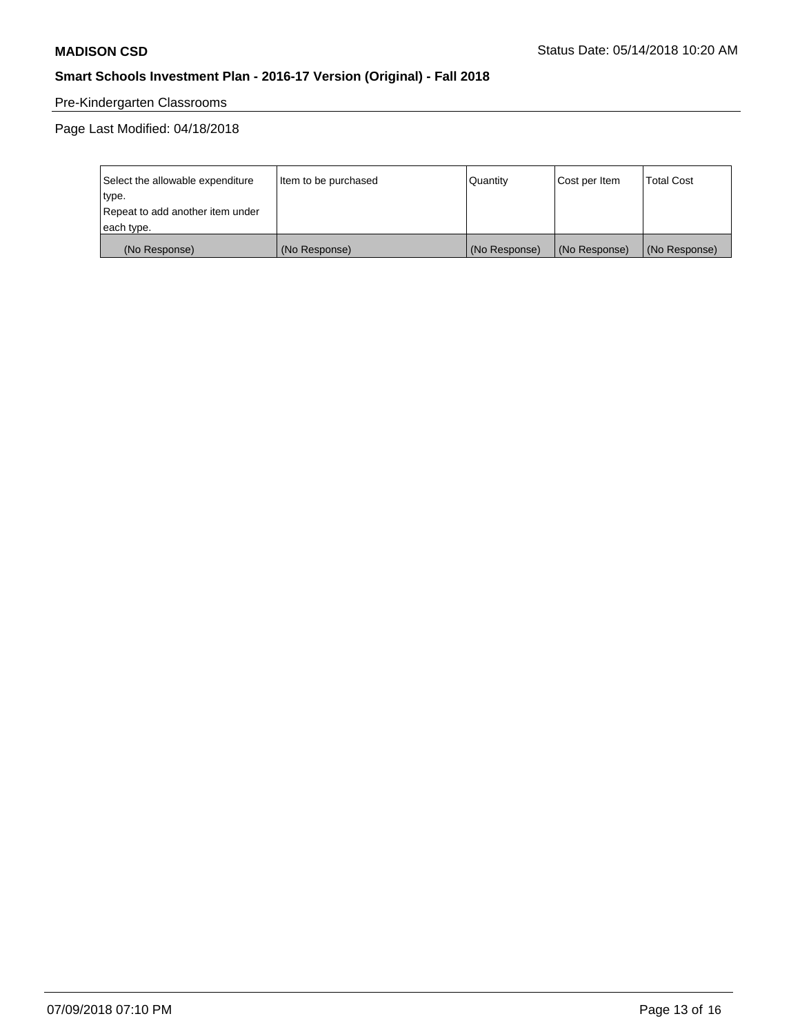# Pre-Kindergarten Classrooms

Page Last Modified: 04/18/2018

| Select the allowable expenditure | Item to be purchased | Quantity      | Cost per Item | <b>Total Cost</b> |
|----------------------------------|----------------------|---------------|---------------|-------------------|
| type.                            |                      |               |               |                   |
| Repeat to add another item under |                      |               |               |                   |
| each type.                       |                      |               |               |                   |
| (No Response)                    | (No Response)        | (No Response) | (No Response) | (No Response)     |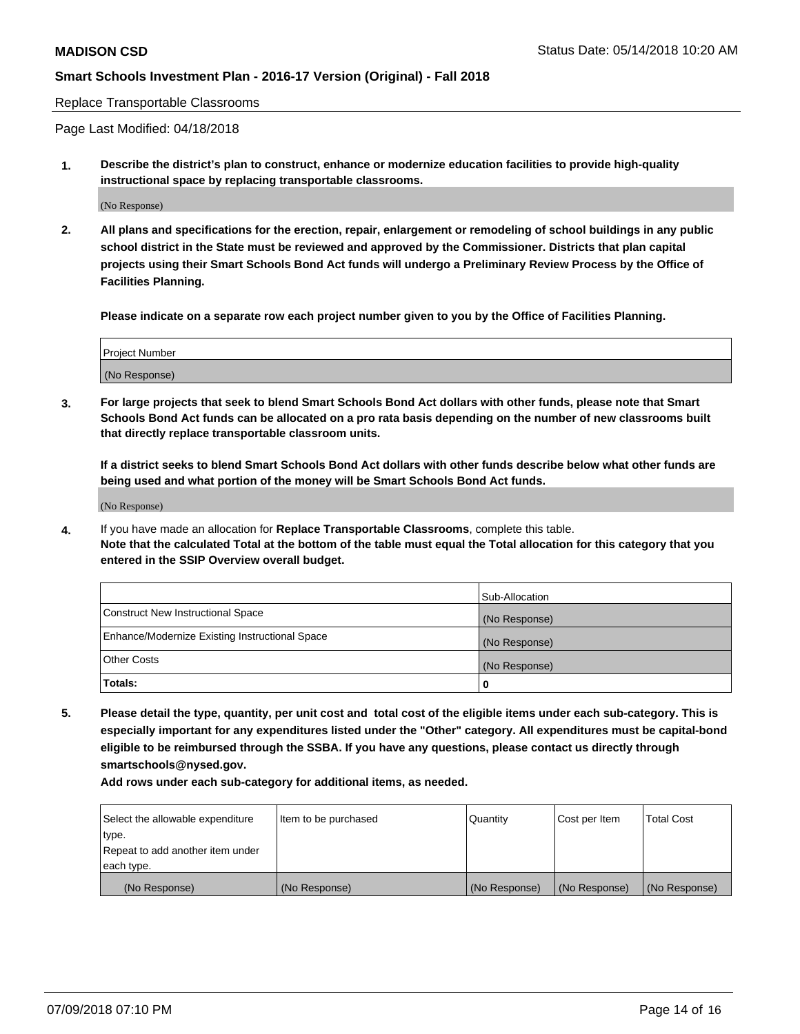Replace Transportable Classrooms

Page Last Modified: 04/18/2018

**1. Describe the district's plan to construct, enhance or modernize education facilities to provide high-quality instructional space by replacing transportable classrooms.**

(No Response)

**2. All plans and specifications for the erection, repair, enlargement or remodeling of school buildings in any public school district in the State must be reviewed and approved by the Commissioner. Districts that plan capital projects using their Smart Schools Bond Act funds will undergo a Preliminary Review Process by the Office of Facilities Planning.**

**Please indicate on a separate row each project number given to you by the Office of Facilities Planning.**

| <b>Project Number</b> |  |
|-----------------------|--|
| (No Response)         |  |

**3. For large projects that seek to blend Smart Schools Bond Act dollars with other funds, please note that Smart Schools Bond Act funds can be allocated on a pro rata basis depending on the number of new classrooms built that directly replace transportable classroom units.**

**If a district seeks to blend Smart Schools Bond Act dollars with other funds describe below what other funds are being used and what portion of the money will be Smart Schools Bond Act funds.**

(No Response)

**4.** If you have made an allocation for **Replace Transportable Classrooms**, complete this table. **Note that the calculated Total at the bottom of the table must equal the Total allocation for this category that you entered in the SSIP Overview overall budget.**

|                                                | Sub-Allocation |
|------------------------------------------------|----------------|
| Construct New Instructional Space              | (No Response)  |
| Enhance/Modernize Existing Instructional Space | (No Response)  |
| Other Costs                                    | (No Response)  |
| Totals:                                        | 0              |

**5. Please detail the type, quantity, per unit cost and total cost of the eligible items under each sub-category. This is especially important for any expenditures listed under the "Other" category. All expenditures must be capital-bond eligible to be reimbursed through the SSBA. If you have any questions, please contact us directly through smartschools@nysed.gov.**

| Select the allowable expenditure | Item to be purchased | Quantity      | Cost per Item | <b>Total Cost</b> |
|----------------------------------|----------------------|---------------|---------------|-------------------|
| type.                            |                      |               |               |                   |
| Repeat to add another item under |                      |               |               |                   |
| each type.                       |                      |               |               |                   |
| (No Response)                    | (No Response)        | (No Response) | (No Response) | (No Response)     |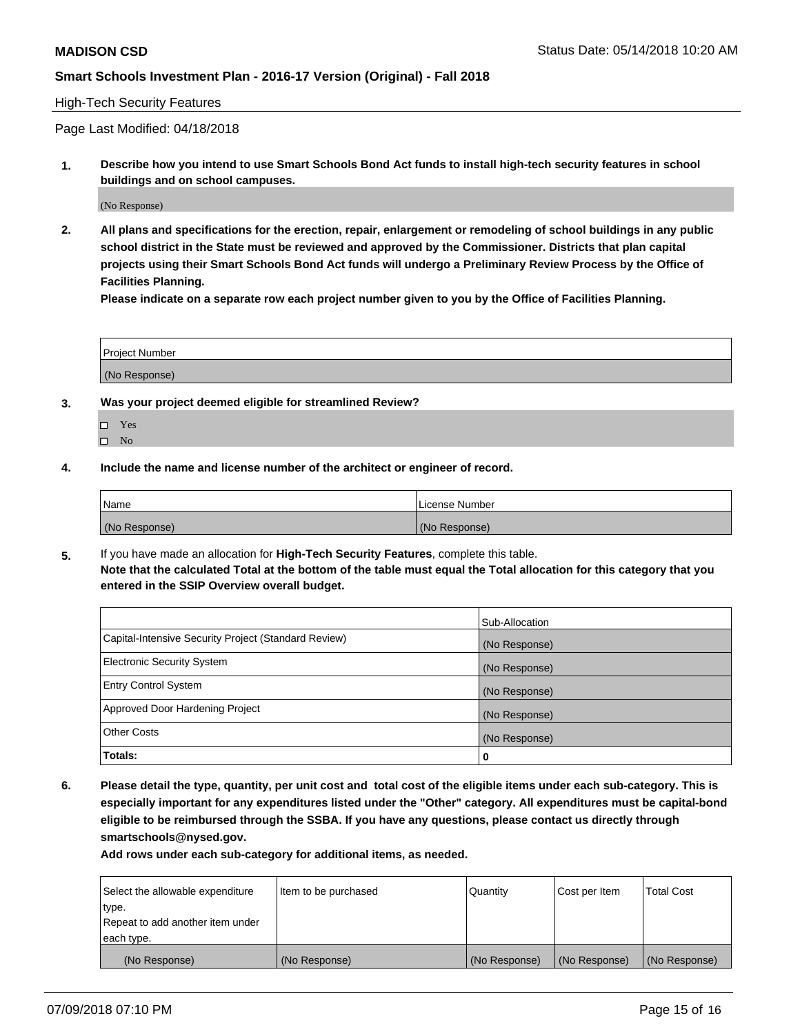#### High-Tech Security Features

Page Last Modified: 04/18/2018

**1. Describe how you intend to use Smart Schools Bond Act funds to install high-tech security features in school buildings and on school campuses.**

(No Response)

**2. All plans and specifications for the erection, repair, enlargement or remodeling of school buildings in any public school district in the State must be reviewed and approved by the Commissioner. Districts that plan capital projects using their Smart Schools Bond Act funds will undergo a Preliminary Review Process by the Office of Facilities Planning.** 

**Please indicate on a separate row each project number given to you by the Office of Facilities Planning.**

| <b>Project Number</b> |  |
|-----------------------|--|
| (No Response)         |  |

- **3. Was your project deemed eligible for streamlined Review?**
	- Yes  $\square$  No
- **4. Include the name and license number of the architect or engineer of record.**

| <i>Name</i>   | l License Number |
|---------------|------------------|
| (No Response) | (No Response)    |

**5.** If you have made an allocation for **High-Tech Security Features**, complete this table. **Note that the calculated Total at the bottom of the table must equal the Total allocation for this category that you entered in the SSIP Overview overall budget.**

|                                                      | Sub-Allocation |
|------------------------------------------------------|----------------|
| Capital-Intensive Security Project (Standard Review) | (No Response)  |
| <b>Electronic Security System</b>                    | (No Response)  |
| <b>Entry Control System</b>                          | (No Response)  |
| Approved Door Hardening Project                      | (No Response)  |
| <b>Other Costs</b>                                   | (No Response)  |
| Totals:                                              | 0              |

**6. Please detail the type, quantity, per unit cost and total cost of the eligible items under each sub-category. This is especially important for any expenditures listed under the "Other" category. All expenditures must be capital-bond eligible to be reimbursed through the SSBA. If you have any questions, please contact us directly through smartschools@nysed.gov.**

| Select the allowable expenditure | Item to be purchased | Quantity      | Cost per Item | <b>Total Cost</b> |
|----------------------------------|----------------------|---------------|---------------|-------------------|
| type.                            |                      |               |               |                   |
| Repeat to add another item under |                      |               |               |                   |
| each type.                       |                      |               |               |                   |
| (No Response)                    | (No Response)        | (No Response) | (No Response) | (No Response)     |